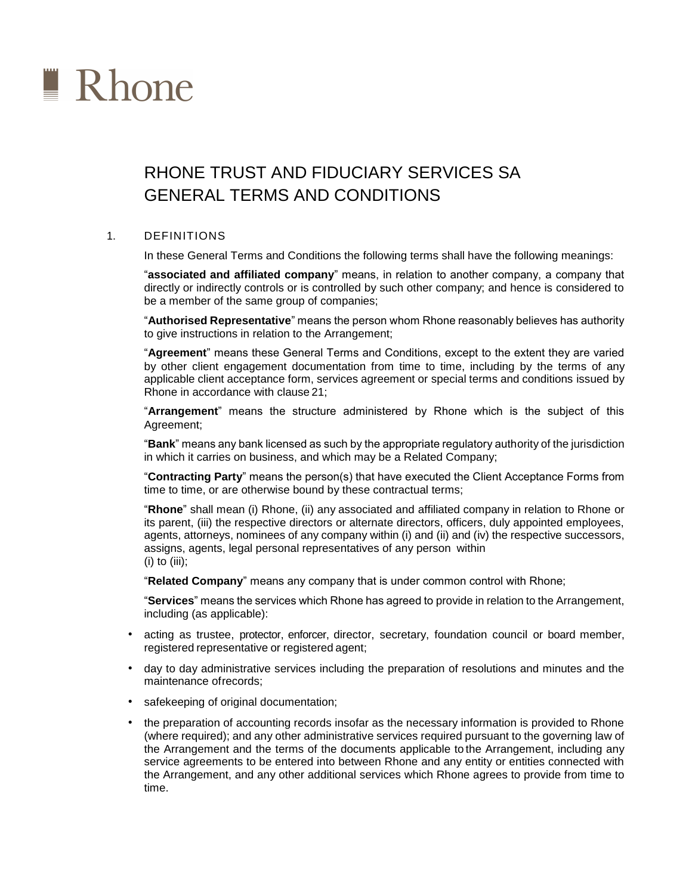

# RHONE TRUST AND FIDUCIARY SERVICES SA GENERAL TERMS AND CONDITIONS

# 1. DEFINITIONS

In these General Terms and Conditions the following terms shall have the following meanings:

"**associated and affiliated company**" means, in relation to another company, a company that directly or indirectly controls or is controlled by such other company; and hence is considered to be a member of the same group of companies;

"**Authorised Representative**" means the person whom Rhone reasonably believes has authority to give instructions in relation to the Arrangement;

"**Agreement**" means these General Terms and Conditions, except to the extent they are varied by other client engagement documentation from time to time, including by the terms of any applicable client acceptance form, services agreement or special terms and conditions issued by Rhone in accordance with clause 21;

"**Arrangement**" means the structure administered by Rhone which is the subject of this Agreement;

"**Bank**" means any bank licensed as such by the appropriate regulatory authority of the jurisdiction in which it carries on business, and which may be a Related Company;

"**Contracting Party**" means the person(s) that have executed the Client Acceptance Forms from time to time, or are otherwise bound by these contractual terms;

"**Rhone**" shall mean (i) Rhone, (ii) any associated and affiliated company in relation to Rhone or its parent, (iii) the respective directors or alternate directors, officers, duly appointed employees, agents, attorneys, nominees of any company within (i) and (ii) and (iv) the respective successors, assigns, agents, legal personal representatives of any person within  $(i)$  to  $(iii)$ ;

"**Related Company**" means any company that is under common control with Rhone;

"**Services**" means the services which Rhone has agreed to provide in relation to the Arrangement, including (as applicable):

- acting as trustee, protector, enforcer, director, secretary, foundation council or board member, registered representative or registered agent;
- day to day administrative services including the preparation of resolutions and minutes and the maintenance of records;
- safekeeping of original documentation;
- the preparation of accounting records insofar as the necessary information is provided to Rhone (where required); and any other administrative services required pursuant to the governing law of the Arrangement and the terms of the documents applicable to the Arrangement, including any service agreements to be entered into between Rhone and any entity or entities connected with the Arrangement, and any other additional services which Rhone agrees to provide from time to time.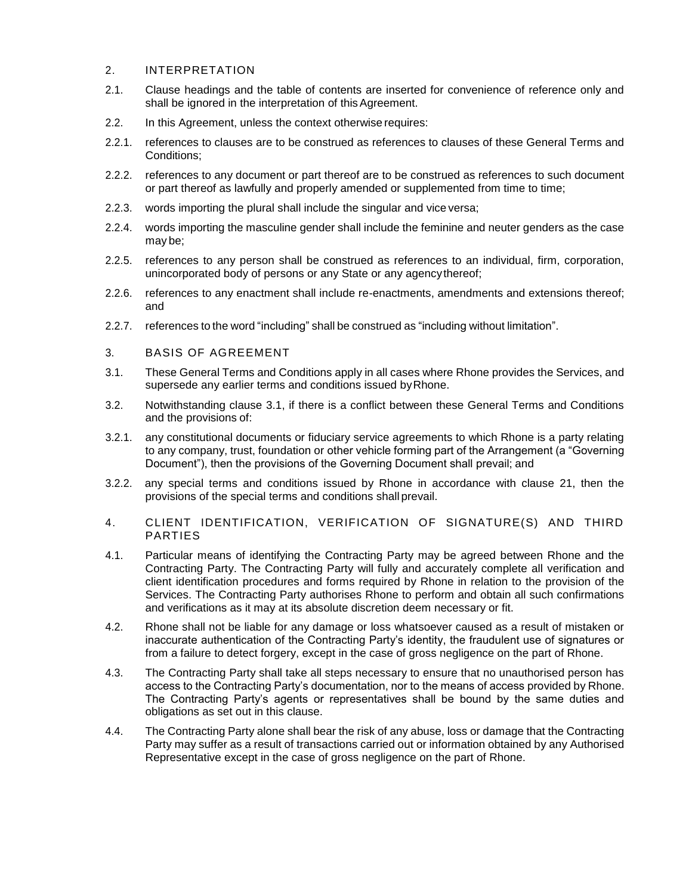## 2. INTERPRETATION

- 2.1. Clause headings and the table of contents are inserted for convenience of reference only and shall be ignored in the interpretation of this Agreement.
- 2.2. In this Agreement, unless the context otherwise requires:
- 2.2.1. references to clauses are to be construed as references to clauses of these General Terms and Conditions;
- 2.2.2. references to any document or part thereof are to be construed as references to such document or part thereof as lawfully and properly amended or supplemented from time to time;
- 2.2.3. words importing the plural shall include the singular and vice versa;
- 2.2.4. words importing the masculine gender shall include the feminine and neuter genders as the case may be;
- 2.2.5. references to any person shall be construed as references to an individual, firm, corporation, unincorporated body of persons or any State or any agency thereof;
- 2.2.6. references to any enactment shall include re-enactments, amendments and extensions thereof; and
- 2.2.7. references to the word "including" shall be construed as "including without limitation".
- 3. BASIS OF AGREEMENT
- 3.1. These General Terms and Conditions apply in all cases where Rhone provides the Services, and supersede any earlier terms and conditions issued by Rhone.
- 3.2. Notwithstanding clause 3.1, if there is a conflict between these General Terms and Conditions and the provisions of:
- 3.2.1. any constitutional documents or fiduciary service agreements to which Rhone is a party relating to any company, trust, foundation or other vehicle forming part of the Arrangement (a "Governing Document"), then the provisions of the Governing Document shall prevail; and
- 3.2.2. any special terms and conditions issued by Rhone in accordance with clause 21, then the provisions of the special terms and conditions shall prevail.
- 4. CLIENT IDENTIFICATION, VERIFICATION OF SIGNATURE(S) AND THIRD PARTIES
- 4.1. Particular means of identifying the Contracting Party may be agreed between Rhone and the Contracting Party. The Contracting Party will fully and accurately complete all verification and client identification procedures and forms required by Rhone in relation to the provision of the Services. The Contracting Party authorises Rhone to perform and obtain all such confirmations and verifications as it may at its absolute discretion deem necessary or fit.
- 4.2. Rhone shall not be liable for any damage or loss whatsoever caused as a result of mistaken or inaccurate authentication of the Contracting Party's identity, the fraudulent use of signatures or from a failure to detect forgery, except in the case of gross negligence on the part of Rhone.
- 4.3. The Contracting Party shall take all steps necessary to ensure that no unauthorised person has access to the Contracting Party's documentation, nor to the means of access provided by Rhone. The Contracting Party's agents or representatives shall be bound by the same duties and obligations as set out in this clause.
- 4.4. The Contracting Party alone shall bear the risk of any abuse, loss or damage that the Contracting Party may suffer as a result of transactions carried out or information obtained by any Authorised Representative except in the case of gross negligence on the part of Rhone.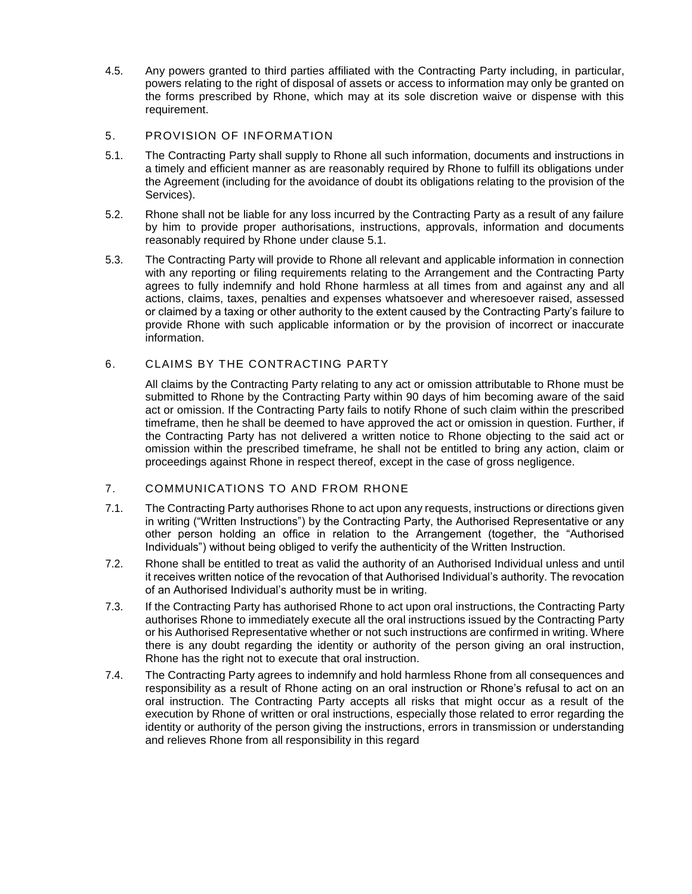4.5. Any powers granted to third parties affiliated with the Contracting Party including, in particular, powers relating to the right of disposal of assets or access to information may only be granted on the forms prescribed by Rhone, which may at its sole discretion waive or dispense with this requirement.

## 5. PROVISION OF INFORMATION

- 5.1. The Contracting Party shall supply to Rhone all such information, documents and instructions in a timely and efficient manner as are reasonably required by Rhone to fulfill its obligations under the Agreement (including for the avoidance of doubt its obligations relating to the provision of the Services).
- 5.2. Rhone shall not be liable for any loss incurred by the Contracting Party as a result of any failure by him to provide proper authorisations, instructions, approvals, information and documents reasonably required by Rhone under clause 5.1.
- 5.3. The Contracting Party will provide to Rhone all relevant and applicable information in connection with any reporting or filing requirements relating to the Arrangement and the Contracting Party agrees to fully indemnify and hold Rhone harmless at all times from and against any and all actions, claims, taxes, penalties and expenses whatsoever and wheresoever raised, assessed or claimed by a taxing or other authority to the extent caused by the Contracting Party's failure to provide Rhone with such applicable information or by the provision of incorrect or inaccurate information.

# 6. CLAIMS BY THE CONTRACTING PARTY

All claims by the Contracting Party relating to any act or omission attributable to Rhone must be submitted to Rhone by the Contracting Party within 90 days of him becoming aware of the said act or omission. If the Contracting Party fails to notify Rhone of such claim within the prescribed timeframe, then he shall be deemed to have approved the act or omission in question. Further, if the Contracting Party has not delivered a written notice to Rhone objecting to the said act or omission within the prescribed timeframe, he shall not be entitled to bring any action, claim or proceedings against Rhone in respect thereof, except in the case of gross negligence.

## 7. COMMUNICATIONS TO AND FROM RHONE

- 7.1. The Contracting Party authorises Rhone to act upon any requests, instructions or directions given in writing ("Written Instructions") by the Contracting Party, the Authorised Representative or any other person holding an office in relation to the Arrangement (together, the "Authorised Individuals") without being obliged to verify the authenticity of the Written Instruction.
- 7.2. Rhone shall be entitled to treat as valid the authority of an Authorised Individual unless and until it receives written notice of the revocation of that Authorised Individual's authority. The revocation of an Authorised Individual's authority must be in writing.
- 7.3. If the Contracting Party has authorised Rhone to act upon oral instructions, the Contracting Party authorises Rhone to immediately execute all the oral instructions issued by the Contracting Party or his Authorised Representative whether or not such instructions are confirmed in writing. Where there is any doubt regarding the identity or authority of the person giving an oral instruction, Rhone has the right not to execute that oral instruction.
- 7.4. The Contracting Party agrees to indemnify and hold harmless Rhone from all consequences and responsibility as a result of Rhone acting on an oral instruction or Rhone's refusal to act on an oral instruction. The Contracting Party accepts all risks that might occur as a result of the execution by Rhone of written or oral instructions, especially those related to error regarding the identity or authority of the person giving the instructions, errors in transmission or understanding and relieves Rhone from all responsibility in this regard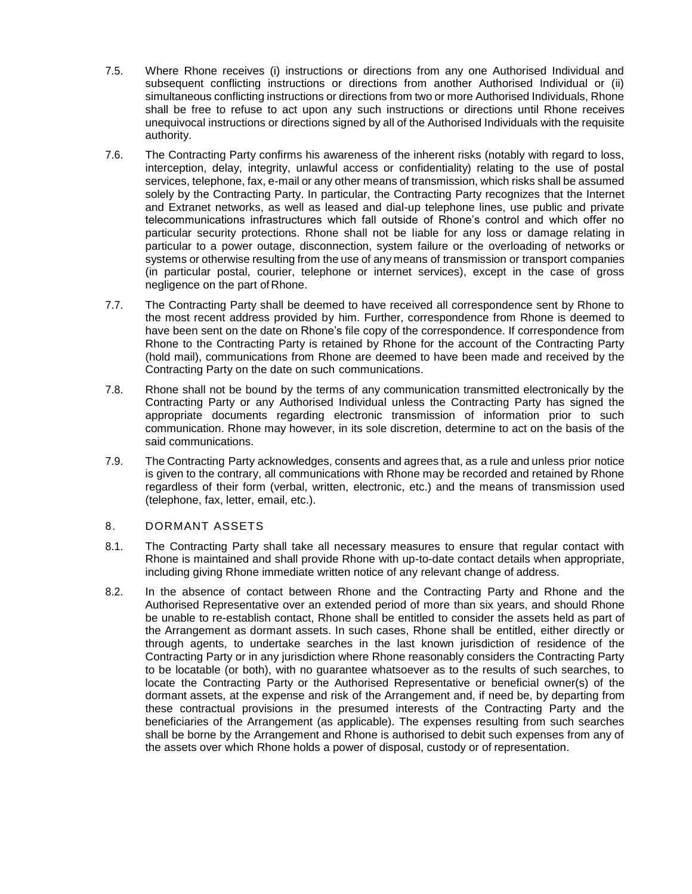- 7.5. Where Rhone receives (i) instructions or directions from any one Authorised Individual and subsequent conflicting instructions or directions from another Authorised Individual or (ii) simultaneous conflicting instructions or directions from two or more Authorised Individuals, Rhone shall be free to refuse to act upon any such instructions or directions until Rhone receives unequivocal instructions or directions signed by all of the Authorised Individuals with the requisite authority.
- 7.6. The Contracting Party confirms his awareness of the inherent risks (notably with regard to loss, interception, delay, integrity, unlawful access or confidentiality) relating to the use of postal services, telephone, fax, e-mail or any other means of transmission, which risks shall be assumed solely by the Contracting Party. In particular, the Contracting Party recognizes that the Internet and Extranet networks, as well as leased and dial-up telephone lines, use public and private telecommunications infrastructures which fall outside of Rhone's control and which offer no particular security protections. Rhone shall not be liable for any loss or damage relating in particular to a power outage, disconnection, system failure or the overloading of networks or systems or otherwise resulting from the use of any means of transmission or transport companies (in particular postal, courier, telephone or internet services), except in the case of gross negligence on the part of Rhone.
- 7.7. The Contracting Party shall be deemed to have received all correspondence sent by Rhone to the most recent address provided by him. Further, correspondence from Rhone is deemed to have been sent on the date on Rhone's file copy of the correspondence. If correspondence from Rhone to the Contracting Party is retained by Rhone for the account of the Contracting Party (hold mail), communications from Rhone are deemed to have been made and received by the Contracting Party on the date on such communications.
- 7.8. Rhone shall not be bound by the terms of any communication transmitted electronically by the Contracting Party or any Authorised Individual unless the Contracting Party has signed the appropriate documents regarding electronic transmission of information prior to such communication. Rhone may however, in its sole discretion, determine to act on the basis of the said communications.
- 7.9. The Contracting Party acknowledges, consents and agrees that, as a rule and unless prior notice is given to the contrary, all communications with Rhone may be recorded and retained by Rhone regardless of their form (verbal, written, electronic, etc.) and the means of transmission used (telephone, fax, letter, email, etc.).

## 8. DORMANT ASSETS

- 8.1. The Contracting Party shall take all necessary measures to ensure that regular contact with Rhone is maintained and shall provide Rhone with up-to-date contact details when appropriate, including giving Rhone immediate written notice of any relevant change of address.
- 8.2. In the absence of contact between Rhone and the Contracting Party and Rhone and the Authorised Representative over an extended period of more than six years, and should Rhone be unable to re-establish contact, Rhone shall be entitled to consider the assets held as part of the Arrangement as dormant assets. In such cases, Rhone shall be entitled, either directly or through agents, to undertake searches in the last known jurisdiction of residence of the Contracting Party or in any jurisdiction where Rhone reasonably considers the Contracting Party to be locatable (or both), with no guarantee whatsoever as to the results of such searches, to locate the Contracting Party or the Authorised Representative or beneficial owner(s) of the dormant assets, at the expense and risk of the Arrangement and, if need be, by departing from these contractual provisions in the presumed interests of the Contracting Party and the beneficiaries of the Arrangement (as applicable). The expenses resulting from such searches shall be borne by the Arrangement and Rhone is authorised to debit such expenses from any of the assets over which Rhone holds a power of disposal, custody or of representation.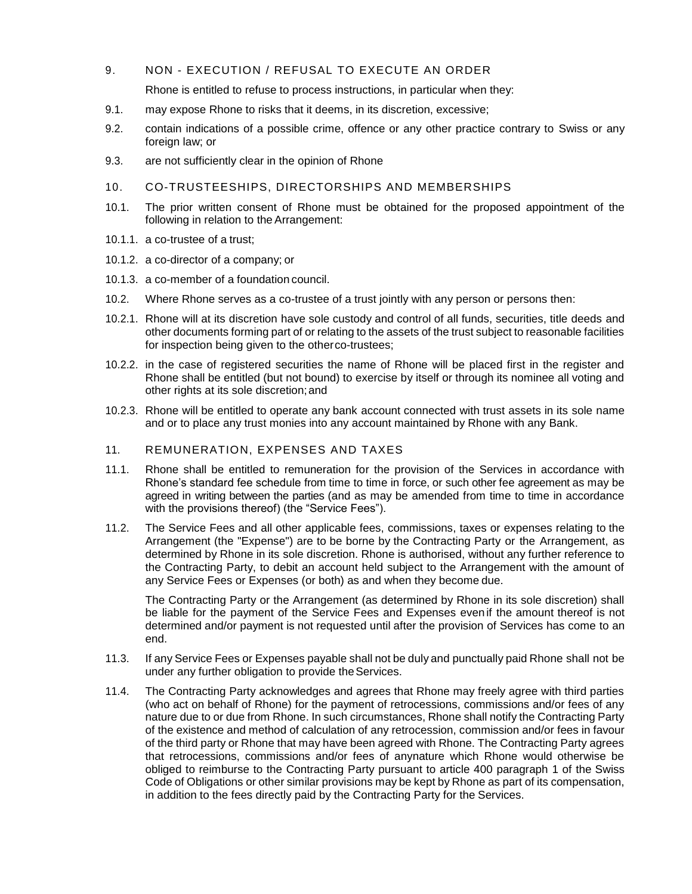## 9. NON - EXECUTION / REFUSAL TO EXECUTE AN ORDER

Rhone is entitled to refuse to process instructions, in particular when they:

- 9.1. may expose Rhone to risks that it deems, in its discretion, excessive;
- 9.2. contain indications of a possible crime, offence or any other practice contrary to Swiss or any foreign law; or
- 9.3. are not sufficiently clear in the opinion of Rhone
- 10. CO-TRUSTEESHIPS, DIRECTORSHIPS AND MEMBERSHIPS
- 10.1. The prior written consent of Rhone must be obtained for the proposed appointment of the following in relation to the Arrangement:
- 10.1.1. a co-trustee of a trust;
- 10.1.2. a co-director of a company; or
- 10.1.3. a co-member of a foundation council.
- 10.2. Where Rhone serves as a co-trustee of a trust jointly with any person or persons then:
- 10.2.1. Rhone will at its discretion have sole custody and control of all funds, securities, title deeds and other documents forming part of or relating to the assets of the trust subject to reasonable facilities for inspection being given to the otherco-trustees;
- 10.2.2. in the case of registered securities the name of Rhone will be placed first in the register and Rhone shall be entitled (but not bound) to exercise by itself or through its nominee all voting and other rights at its sole discretion;and
- 10.2.3. Rhone will be entitled to operate any bank account connected with trust assets in its sole name and or to place any trust monies into any account maintained by Rhone with any Bank.
- 11. REMUNERATION, EXPENSES AND TAXES
- 11.1. Rhone shall be entitled to remuneration for the provision of the Services in accordance with Rhone's standard fee schedule from time to time in force, or such other fee agreement as may be agreed in writing between the parties (and as may be amended from time to time in accordance with the provisions thereof) (the "Service Fees").
- 11.2. The Service Fees and all other applicable fees, commissions, taxes or expenses relating to the Arrangement (the "Expense") are to be borne by the Contracting Party or the Arrangement, as determined by Rhone in its sole discretion. Rhone is authorised, without any further reference to the Contracting Party, to debit an account held subject to the Arrangement with the amount of any Service Fees or Expenses (or both) as and when they become due.

The Contracting Party or the Arrangement (as determined by Rhone in its sole discretion) shall be liable for the payment of the Service Fees and Expenses even if the amount thereof is not determined and/or payment is not requested until after the provision of Services has come to an end.

- 11.3. If any Service Fees or Expenses payable shall not be duly and punctually paid Rhone shall not be under any further obligation to provide the Services.
- 11.4. The Contracting Party acknowledges and agrees that Rhone may freely agree with third parties (who act on behalf of Rhone) for the payment of retrocessions, commissions and/or fees of any nature due to or due from Rhone. In such circumstances, Rhone shall notify the Contracting Party of the existence and method of calculation of any retrocession, commission and/or fees in favour of the third party or Rhone that may have been agreed with Rhone. The Contracting Party agrees that retrocessions, commissions and/or fees of anynature which Rhone would otherwise be obliged to reimburse to the Contracting Party pursuant to article 400 paragraph 1 of the Swiss Code of Obligations or other similar provisions may be kept by Rhone as part of its compensation, in addition to the fees directly paid by the Contracting Party for the Services.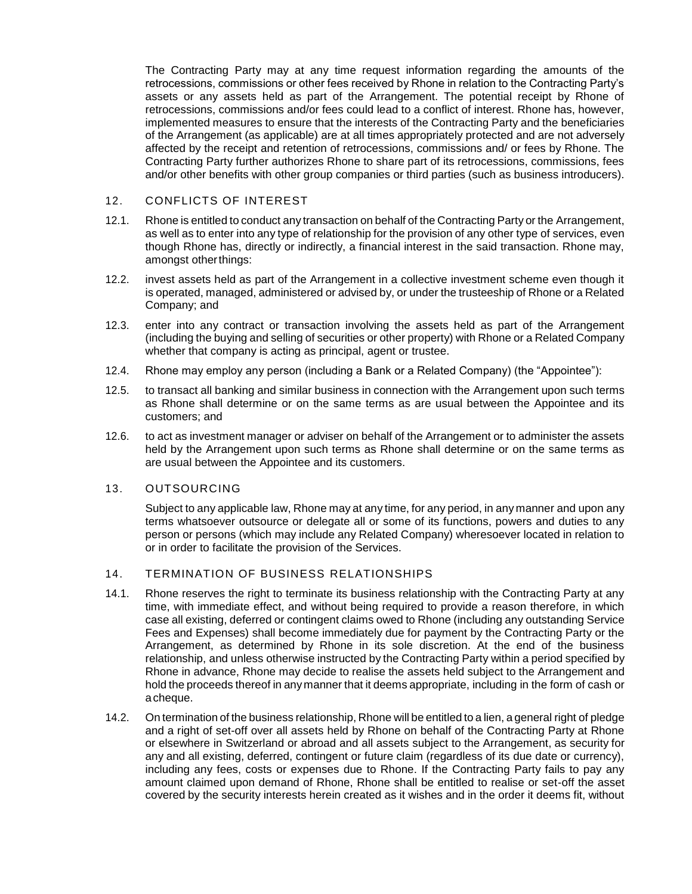The Contracting Party may at any time request information regarding the amounts of the retrocessions, commissions or other fees received by Rhone in relation to the Contracting Party's assets or any assets held as part of the Arrangement. The potential receipt by Rhone of retrocessions, commissions and/or fees could lead to a conflict of interest. Rhone has, however, implemented measures to ensure that the interests of the Contracting Party and the beneficiaries of the Arrangement (as applicable) are at all times appropriately protected and are not adversely affected by the receipt and retention of retrocessions, commissions and/ or fees by Rhone. The Contracting Party further authorizes Rhone to share part of its retrocessions, commissions, fees and/or other benefits with other group companies or third parties (such as business introducers).

## 12. CONFLICTS OF INTEREST

- 12.1. Rhone is entitled to conduct any transaction on behalf of the Contracting Party or the Arrangement, as well as to enter into any type of relationship for the provision of any other type of services, even though Rhone has, directly or indirectly, a financial interest in the said transaction. Rhone may, amongst otherthings:
- 12.2. invest assets held as part of the Arrangement in a collective investment scheme even though it is operated, managed, administered or advised by, or under the trusteeship of Rhone or a Related Company; and
- 12.3. enter into any contract or transaction involving the assets held as part of the Arrangement (including the buying and selling of securities or other property) with Rhone or a Related Company whether that company is acting as principal, agent or trustee.
- 12.4. Rhone may employ any person (including a Bank or a Related Company) (the "Appointee"):
- 12.5. to transact all banking and similar business in connection with the Arrangement upon such terms as Rhone shall determine or on the same terms as are usual between the Appointee and its customers; and
- 12.6. to act as investment manager or adviser on behalf of the Arrangement or to administer the assets held by the Arrangement upon such terms as Rhone shall determine or on the same terms as are usual between the Appointee and its customers.

## 13. OUTSOURCING

Subject to any applicable law, Rhone may at any time, for any period, in any manner and upon any terms whatsoever outsource or delegate all or some of its functions, powers and duties to any person or persons (which may include any Related Company) wheresoever located in relation to or in order to facilitate the provision of the Services.

# 14. TERMINATION OF BUSINESS RELATIONSHIPS

- 14.1. Rhone reserves the right to terminate its business relationship with the Contracting Party at any time, with immediate effect, and without being required to provide a reason therefore, in which case all existing, deferred or contingent claims owed to Rhone (including any outstanding Service Fees and Expenses) shall become immediately due for payment by the Contracting Party or the Arrangement, as determined by Rhone in its sole discretion. At the end of the business relationship, and unless otherwise instructed by the Contracting Party within a period specified by Rhone in advance, Rhone may decide to realise the assets held subject to the Arrangement and hold the proceeds thereof in any manner that it deems appropriate, including in the form of cash or acheque.
- 14.2. On termination of the business relationship, Rhone will be entitled to a lien, a general right of pledge and a right of set-off over all assets held by Rhone on behalf of the Contracting Party at Rhone or elsewhere in Switzerland or abroad and all assets subject to the Arrangement, as security for any and all existing, deferred, contingent or future claim (regardless of its due date or currency), including any fees, costs or expenses due to Rhone. If the Contracting Party fails to pay any amount claimed upon demand of Rhone, Rhone shall be entitled to realise or set-off the asset covered by the security interests herein created as it wishes and in the order it deems fit, without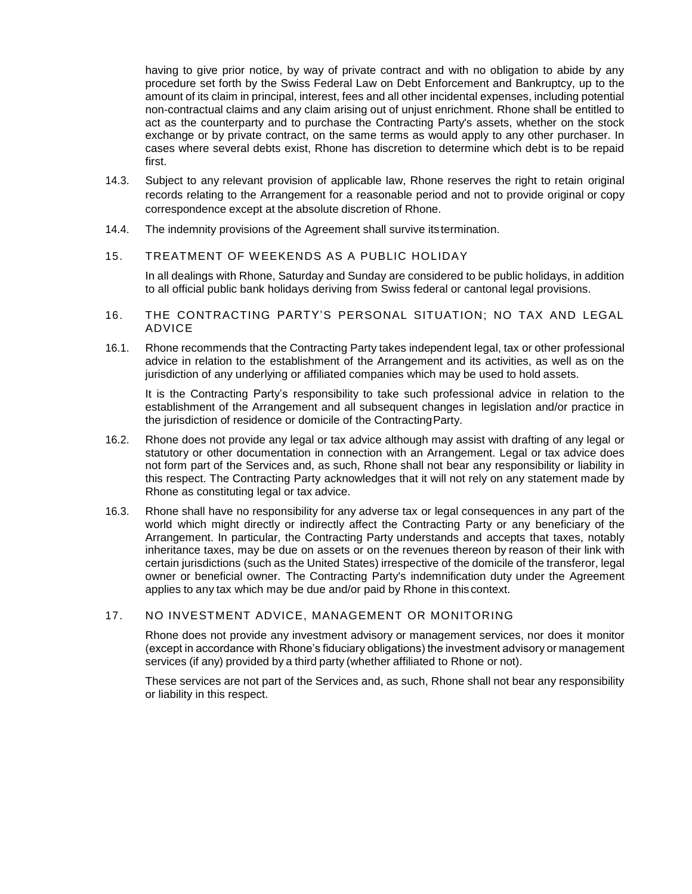having to give prior notice, by way of private contract and with no obligation to abide by any procedure set forth by the Swiss Federal Law on Debt Enforcement and Bankruptcy, up to the amount of its claim in principal, interest, fees and all other incidental expenses, including potential non-contractual claims and any claim arising out of unjust enrichment. Rhone shall be entitled to act as the counterparty and to purchase the Contracting Party's assets, whether on the stock exchange or by private contract, on the same terms as would apply to any other purchaser. In cases where several debts exist, Rhone has discretion to determine which debt is to be repaid first.

- 14.3. Subject to any relevant provision of applicable law, Rhone reserves the right to retain original records relating to the Arrangement for a reasonable period and not to provide original or copy correspondence except at the absolute discretion of Rhone.
- 14.4. The indemnity provisions of the Agreement shall survive its termination.

#### 15. TREATMENT OF WEEKENDS AS A PUBLIC HOLIDAY

In all dealings with Rhone, Saturday and Sunday are considered to be public holidays, in addition to all official public bank holidays deriving from Swiss federal or cantonal legal provisions.

- 16. THE CONTRACTING PARTY'S PERSONAL SITUATION; NO TAX AND LEGAL ADVICE
- 16.1. Rhone recommends that the Contracting Party takes independent legal, tax or other professional advice in relation to the establishment of the Arrangement and its activities, as well as on the jurisdiction of any underlying or affiliated companies which may be used to hold assets.

It is the Contracting Party's responsibility to take such professional advice in relation to the establishment of the Arrangement and all subsequent changes in legislation and/or practice in the jurisdiction of residence or domicile of the ContractingParty.

- 16.2. Rhone does not provide any legal or tax advice although may assist with drafting of any legal or statutory or other documentation in connection with an Arrangement. Legal or tax advice does not form part of the Services and, as such, Rhone shall not bear any responsibility or liability in this respect. The Contracting Party acknowledges that it will not rely on any statement made by Rhone as constituting legal or tax advice.
- 16.3. Rhone shall have no responsibility for any adverse tax or legal consequences in any part of the world which might directly or indirectly affect the Contracting Party or any beneficiary of the Arrangement. In particular, the Contracting Party understands and accepts that taxes, notably inheritance taxes, may be due on assets or on the revenues thereon by reason of their link with certain jurisdictions (such as the United States) irrespective of the domicile of the transferor, legal owner or beneficial owner. The Contracting Party's indemnification duty under the Agreement applies to any tax which may be due and/or paid by Rhone in this context.

## 17. NO INVESTMENT ADVICE, MANAGEMENT OR MONITORING

Rhone does not provide any investment advisory or management services, nor does it monitor (except in accordance with Rhone's fiduciary obligations) the investment advisory or management services (if any) provided by a third party (whether affiliated to Rhone or not).

These services are not part of the Services and, as such, Rhone shall not bear any responsibility or liability in this respect.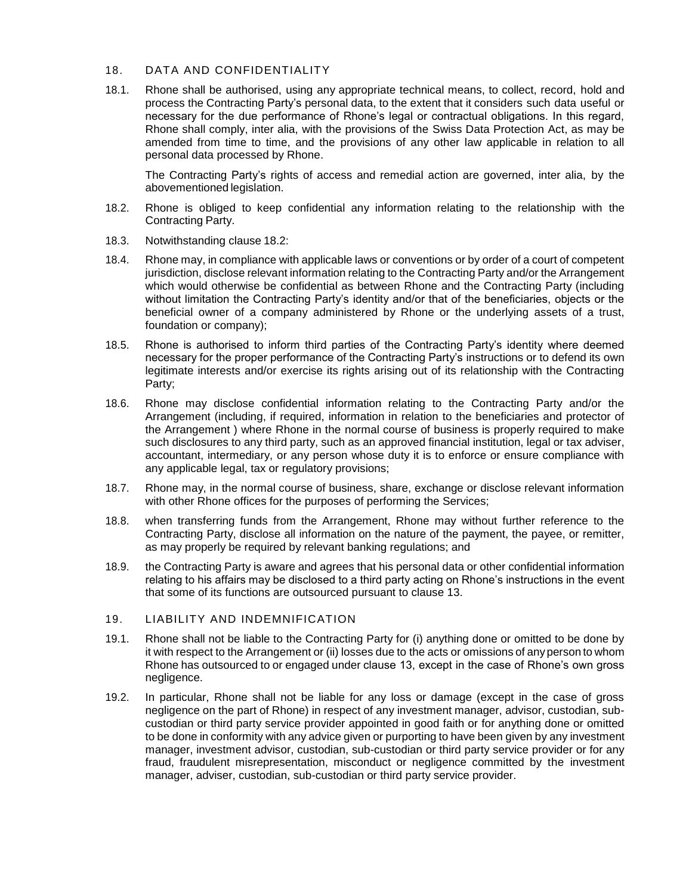## 18. DATA AND CONFIDENTIALITY

18.1. Rhone shall be authorised, using any appropriate technical means, to collect, record, hold and process the Contracting Party's personal data, to the extent that it considers such data useful or necessary for the due performance of Rhone's legal or contractual obligations. In this regard, Rhone shall comply, inter alia, with the provisions of the Swiss Data Protection Act, as may be amended from time to time, and the provisions of any other law applicable in relation to all personal data processed by Rhone.

The Contracting Party's rights of access and remedial action are governed, inter alia, by the abovementioned legislation.

- 18.2. Rhone is obliged to keep confidential any information relating to the relationship with the Contracting Party.
- 18.3. Notwithstanding clause 18.2:
- 18.4. Rhone may, in compliance with applicable laws or conventions or by order of a court of competent jurisdiction, disclose relevant information relating to the Contracting Party and/or the Arrangement which would otherwise be confidential as between Rhone and the Contracting Party (including without limitation the Contracting Party's identity and/or that of the beneficiaries, objects or the beneficial owner of a company administered by Rhone or the underlying assets of a trust, foundation or company);
- 18.5. Rhone is authorised to inform third parties of the Contracting Party's identity where deemed necessary for the proper performance of the Contracting Party's instructions or to defend its own legitimate interests and/or exercise its rights arising out of its relationship with the Contracting Party;
- 18.6. Rhone may disclose confidential information relating to the Contracting Party and/or the Arrangement (including, if required, information in relation to the beneficiaries and protector of the Arrangement ) where Rhone in the normal course of business is properly required to make such disclosures to any third party, such as an approved financial institution, legal or tax adviser, accountant, intermediary, or any person whose duty it is to enforce or ensure compliance with any applicable legal, tax or regulatory provisions;
- 18.7. Rhone may, in the normal course of business, share, exchange or disclose relevant information with other Rhone offices for the purposes of performing the Services;
- 18.8. when transferring funds from the Arrangement, Rhone may without further reference to the Contracting Party, disclose all information on the nature of the payment, the payee, or remitter, as may properly be required by relevant banking regulations; and
- 18.9. the Contracting Party is aware and agrees that his personal data or other confidential information relating to his affairs may be disclosed to a third party acting on Rhone's instructions in the event that some of its functions are outsourced pursuant to clause 13.

## 19. LIABILITY AND INDEMNIFICATION

- 19.1. Rhone shall not be liable to the Contracting Party for (i) anything done or omitted to be done by it with respect to the Arrangement or (ii) losses due to the acts or omissions of anyperson to whom Rhone has outsourced to or engaged under clause 13, except in the case of Rhone's own gross negligence.
- 19.2. In particular, Rhone shall not be liable for any loss or damage (except in the case of gross negligence on the part of Rhone) in respect of any investment manager, advisor, custodian, subcustodian or third party service provider appointed in good faith or for anything done or omitted to be done in conformity with any advice given or purporting to have been given by any investment manager, investment advisor, custodian, sub-custodian or third party service provider or for any fraud, fraudulent misrepresentation, misconduct or negligence committed by the investment manager, adviser, custodian, sub-custodian or third party service provider.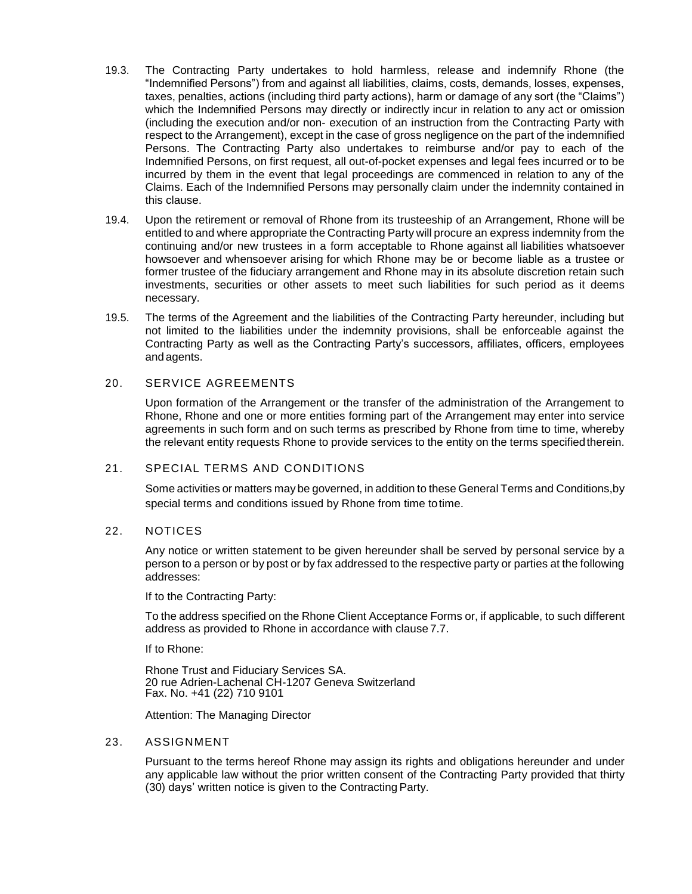- 19.3. The Contracting Party undertakes to hold harmless, release and indemnify Rhone (the "Indemnified Persons") from and against all liabilities, claims, costs, demands, losses, expenses, taxes, penalties, actions (including third party actions), harm or damage of any sort (the "Claims") which the Indemnified Persons may directly or indirectly incur in relation to any act or omission (including the execution and/or non- execution of an instruction from the Contracting Party with respect to the Arrangement), except in the case of gross negligence on the part of the indemnified Persons. The Contracting Party also undertakes to reimburse and/or pay to each of the Indemnified Persons, on first request, all out-of-pocket expenses and legal fees incurred or to be incurred by them in the event that legal proceedings are commenced in relation to any of the Claims. Each of the Indemnified Persons may personally claim under the indemnity contained in this clause.
- 19.4. Upon the retirement or removal of Rhone from its trusteeship of an Arrangement, Rhone will be entitled to and where appropriate the Contracting Party will procure an express indemnity from the continuing and/or new trustees in a form acceptable to Rhone against all liabilities whatsoever howsoever and whensoever arising for which Rhone may be or become liable as a trustee or former trustee of the fiduciary arrangement and Rhone may in its absolute discretion retain such investments, securities or other assets to meet such liabilities for such period as it deems necessary.
- 19.5. The terms of the Agreement and the liabilities of the Contracting Party hereunder, including but not limited to the liabilities under the indemnity provisions, shall be enforceable against the Contracting Party as well as the Contracting Party's successors, affiliates, officers, employees and agents.

## 20. SERVICE AGREEMENTS

Upon formation of the Arrangement or the transfer of the administration of the Arrangement to Rhone, Rhone and one or more entities forming part of the Arrangement may enter into service agreements in such form and on such terms as prescribed by Rhone from time to time, whereby the relevant entity requests Rhone to provide services to the entity on the terms specifiedtherein.

## 21. SPECIAL TERMS AND CONDITIONS

Some activities or matters maybe governed, in addition to these General Terms and Conditions,by special terms and conditions issued by Rhone from time totime.

## 22. NOTICES

Any notice or written statement to be given hereunder shall be served by personal service by a person to a person or by post or by fax addressed to the respective party or parties at the following addresses:

If to the Contracting Party:

To the address specified on the Rhone Client Acceptance Forms or, if applicable, to such different address as provided to Rhone in accordance with clause 7.7.

If to Rhone:

Rhone Trust and Fiduciary Services SA. 20 rue Adrien-Lachenal CH-1207 Geneva Switzerland Fax. No. +41 (22) 710 9101

Attention: The Managing Director

## 23. ASSIGNMENT

Pursuant to the terms hereof Rhone may assign its rights and obligations hereunder and under any applicable law without the prior written consent of the Contracting Party provided that thirty (30) days' written notice is given to the Contracting Party.